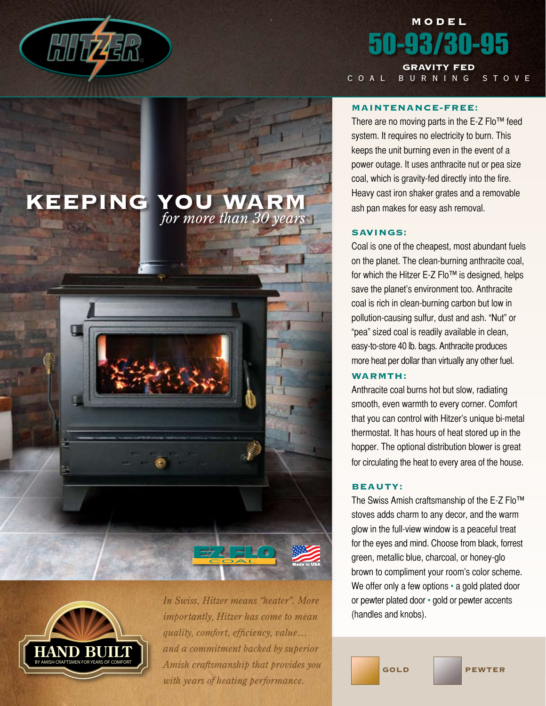

# model 50-93/30-95 Gravity Fed

coal burning stove

### Maintenance-free:

There are no moving parts in the E-Z Flo™ feed system. It requires no electricity to burn. This keeps the unit burning even in the event of a power outage. It uses anthracite nut or pea size coal, which is gravity-fed directly into the fire. Heavy cast iron shaker grates and a removable ash pan makes for easy ash removal.

## Savings:

Coal is one of the cheapest, most abundant fuels on the planet. The clean-burning anthracite coal, for which the Hitzer E-Z Flo<sup>™</sup> is designed, helps save the planet's environment too. Anthracite coal is rich in clean-burning carbon but low in pollution-causing sulfur, dust and ash. "Nut" or "pea" sized coal is readily available in clean, easy-to-store 40 lb. bags. Anthracite produces more heat per dollar than virtually any other fuel.

#### WARMTH:

Anthracite coal burns hot but slow, radiating smooth, even warmth to every corner. Comfort that you can control with Hitzer's unique bi-metal thermostat. It has hours of heat stored up in the hopper. The optional distribution blower is great for circulating the heat to every area of the house.

# Beauty:

The Swiss Amish craftsmanship of the E-Z Flo™ stoves adds charm to any decor, and the warm glow in the full-view window is a peaceful treat for the eyes and mind. Choose from black, forrest green, metallic blue, charcoal, or honey-glo brown to compliment your room's color scheme. We offer only a few options • a gold plated door or pewter plated door • gold or pewter accents (handles and knobs).



*In Swiss, Hitzer means "heater". More importantly, Hitzer has come to mean quality, comfort, efficiency, value… and a commitment backed by superior Amish craftsmanship that provides you with years of heating performance.*

*for more than 30 years*

KEEPING YOU WARM